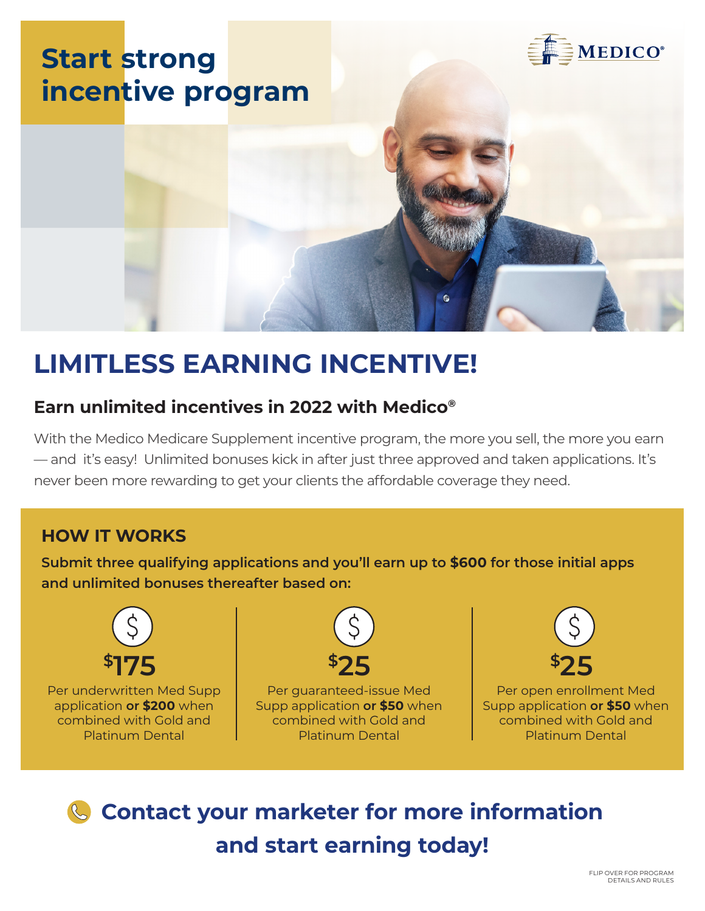

# **LIMITLESS EARNING INCENTIVE!**

## **Earn unlimited incentives in 2022 with Medico®**

With the Medico Medicare Supplement incentive program, the more you sell, the more you earn — and it's easy! Unlimited bonuses kick in after just three approved and taken applications. It's never been more rewarding to get your clients the affordable coverage they need.

### **HOW IT WORKS**

**Submit three qualifying applications and you'll earn up to \$600 for those initial apps and unlimited bonuses thereafter based on:**



Per underwritten Med Supp application **or \$200** when combined with Gold and Platinum Dental



Per guaranteed-issue Med Supp application **or \$50** when combined with Gold and Platinum Dental



Per open enrollment Med Supp application **or \$50** when combined with Gold and Platinum Dental

**Contact your marketer for more information and start earning today!**